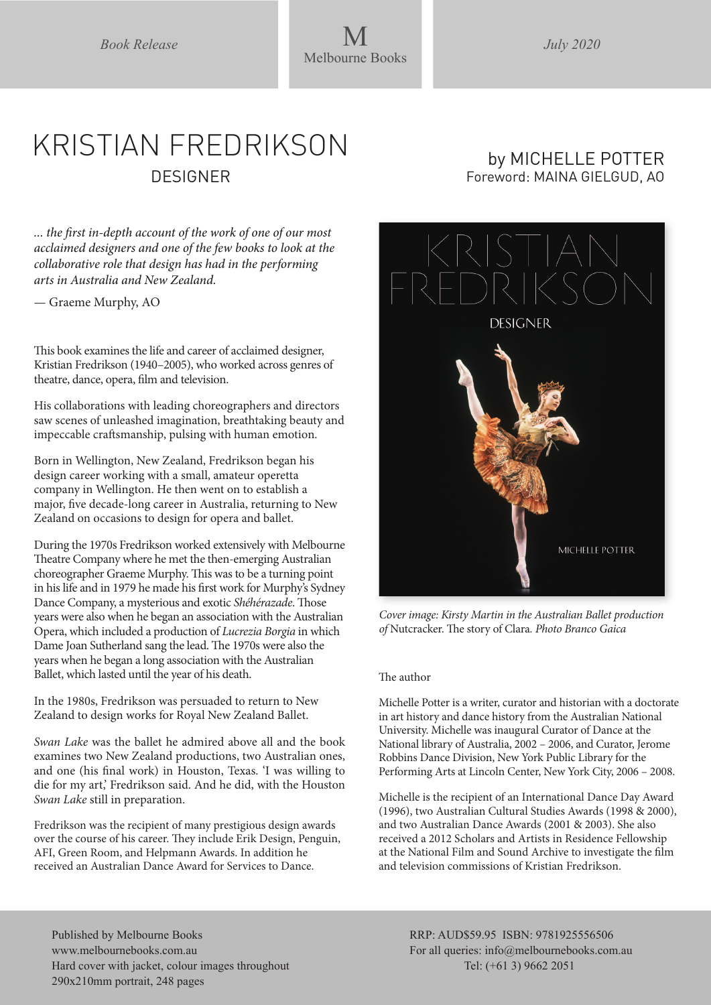*Book Release* M *July 2020* Melbourne Books

## KRISTIAN FREDRIKSON **DESIGNER**

*... the first in-depth account of the work of one of our most acclaimed designers and one of the few books to look at the collaborative role that design has had in the performing arts in Australia and New Zealand.*

— Graeme Murphy, AO

This book examines the life and career of acclaimed designer, Kristian Fredrikson (1940–2005), who worked across genres of theatre, dance, opera, film and television.

His collaborations with leading choreographers and directors saw scenes of unleashed imagination, breathtaking beauty and impeccable craftsmanship, pulsing with human emotion.

Born in Wellington, New Zealand, Fredrikson began his design career working with a small, amateur operetta company in Wellington. He then went on to establish a major, five decade-long career in Australia, returning to New Zealand on occasions to design for opera and ballet.

During the 1970s Fredrikson worked extensively with Melbourne Theatre Company where he met the then-emerging Australian choreographer Graeme Murphy. This was to be a turning point in his life and in 1979 he made his first work for Murphy's Sydney Dance Company, a mysterious and exotic *Shéhérazade*. Those years were also when he began an association with the Australian Opera, which included a production of *Lucrezia Borgia* in which Dame Joan Sutherland sang the lead. The 1970s were also the years when he began a long association with the Australian Ballet, which lasted until the year of his death.

In the 1980s, Fredrikson was persuaded to return to New Zealand to design works for Royal New Zealand Ballet.

*Swan Lake* was the ballet he admired above all and the book examines two New Zealand productions, two Australian ones, and one (his final work) in Houston, Texas. 'I was willing to die for my art,' Fredrikson said. And he did, with the Houston *Swan Lake* still in preparation.

Fredrikson was the recipient of many prestigious design awards over the course of his career. They include Erik Design, Penguin, AFI, Green Room, and Helpmann Awards. In addition he received an Australian Dance Award for Services to Dance.

## by MICHELLE POTTER Foreword: MAINA GIELGUD, AO



*Cover image: Kirsty Martin in the Australian Ballet production of* Nutcracker. The story of Clara*. Photo Branco Gaica*

## The author

Michelle Potter is a writer, curator and historian with a doctorate in art history and dance history from the Australian National University. Michelle was inaugural Curator of Dance at the National library of Australia, 2002 – 2006, and Curator, Jerome Robbins Dance Division, New York Public Library for the Performing Arts at Lincoln Center, New York City, 2006 – 2008.

Michelle is the recipient of an International Dance Day Award (1996), two Australian Cultural Studies Awards (1998 & 2000), and two Australian Dance Awards (2001 & 2003). She also received a 2012 Scholars and Artists in Residence Fellowship at the National Film and Sound Archive to investigate the film and television commissions of Kristian Fredrikson.

Published by Melbourne Books www.melbournebooks.com.au Hard cover with jacket, colour images throughout 290x210mm portrait, 248 pages

RRP: AUD\$59.95 ISBN: 9781925556506 For all queries: info@melbournebooks.com.au Tel: (+61 3) 9662 2051